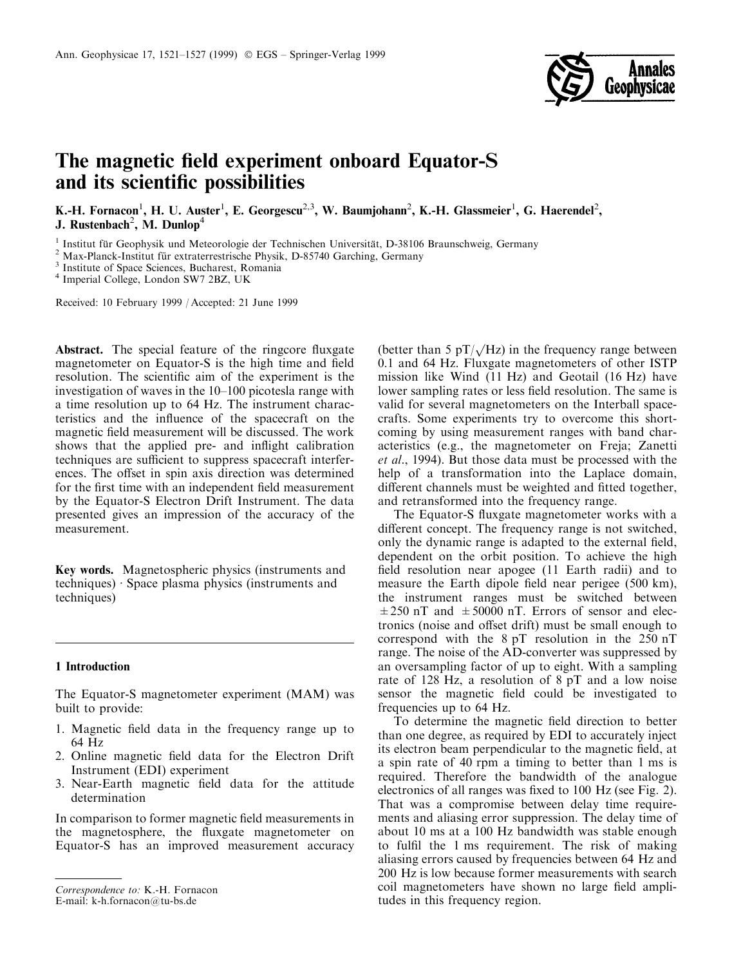

# The magnetic field experiment onboard Equator-S and its scientific possibilities

K.-H. Fornacon<sup>1</sup>, H. U. Auster<sup>1</sup>, E. Georgescu<sup>2,3</sup>, W. Baumjohann<sup>2</sup>, K.-H. Glassmeier<sup>1</sup>, G. Haerendel<sup>2</sup>, J. Rustenbach<sup>2</sup>, M. Dunlop<sup>4</sup>

<sup>1</sup> Institut für Geophysik und Meteorologie der Technischen Universität, D-38106 Braunschweig, Germany <sup>2</sup> Max-Planck-Institut für extraterrestrische Physik, D-85740 Garching, Germany <sup>3</sup> Institute of Space Sciences, Buch

Received: 10 February 1999 / Accepted: 21 June 1999

Abstract. The special feature of the ringcore fluxgate magnetometer on Equator-S is the high time and field resolution. The scientific aim of the experiment is the investigation of waves in the 10-100 picotesla range with a time resolution up to 64 Hz. The instrument characteristics and the influence of the spacecraft on the magnetic field measurement will be discussed. The work shows that the applied pre- and inflight calibration techniques are sufficient to suppress spacecraft interferences. The offset in spin axis direction was determined for the first time with an independent field measurement by the Equator-S Electron Drift Instrument. The data presented gives an impression of the accuracy of the measurement.

Key words. Magnetospheric physics (instruments and techniques)  $\cdot$  Space plasma physics (instruments and techniques)

#### 1 Introduction

The Equator-S magnetometer experiment (MAM) was built to provide:

- 1. Magnetic field data in the frequency range up to 64 Hz
- 2. Online magnetic field data for the Electron Drift Instrument (EDI) experiment
- 3. Near-Earth magnetic field data for the attitude determination

In comparison to former magnetic field measurements in the magnetosphere, the fluxgate magnetometer on Equator-S has an improved measurement accuracy

(better than 5  $pT/\sqrt{Hz}$ ) in the frequency range between 0.1 and 64 Hz. Fluxgate magnetometers of other ISTP mission like Wind (11 Hz) and Geotail (16 Hz) have lower sampling rates or less field resolution. The same is valid for several magnetometers on the Interball spacecrafts. Some experiments try to overcome this shortcoming by using measurement ranges with band characteristics (e.g., the magnetometer on Freja; Zanetti et al., 1994). But those data must be processed with the help of a transformation into the Laplace domain, different channels must be weighted and fitted together, and retransformed into the frequency range.

The Equator-S fluxgate magnetometer works with a different concept. The frequency range is not switched, only the dynamic range is adapted to the external field, dependent on the orbit position. To achieve the high field resolution near apogee (11 Earth radii) and to measure the Earth dipole field near perigee (500 km), the instrument ranges must be switched between  $\pm 250$  nT and  $\pm 50000$  nT. Errors of sensor and electronics (noise and offset drift) must be small enough to correspond with the 8 pT resolution in the 250 nT range. The noise of the AD-converter was suppressed by an oversampling factor of up to eight. With a sampling rate of 128 Hz, a resolution of 8 pT and a low noise sensor the magnetic field could be investigated to frequencies up to 64 Hz.

To determine the magnetic field direction to better than one degree, as required by EDI to accurately inject its electron beam perpendicular to the magnetic field, at a spin rate of 40 rpm a timing to better than 1 ms is required. Therefore the bandwidth of the analogue electronics of all ranges was fixed to 100 Hz (see Fig. 2). That was a compromise between delay time requirements and aliasing error suppression. The delay time of about 10 ms at a 100 Hz bandwidth was stable enough to fulfil the 1 ms requirement. The risk of making aliasing errors caused by frequencies between 64 Hz and 200 Hz is low because former measurements with search coil magnetometers have shown no large field amplitudes in this frequency region.

Correspondence to: K.-H. Fornacon

E-mail: k-h.fornacon@tu-bs.de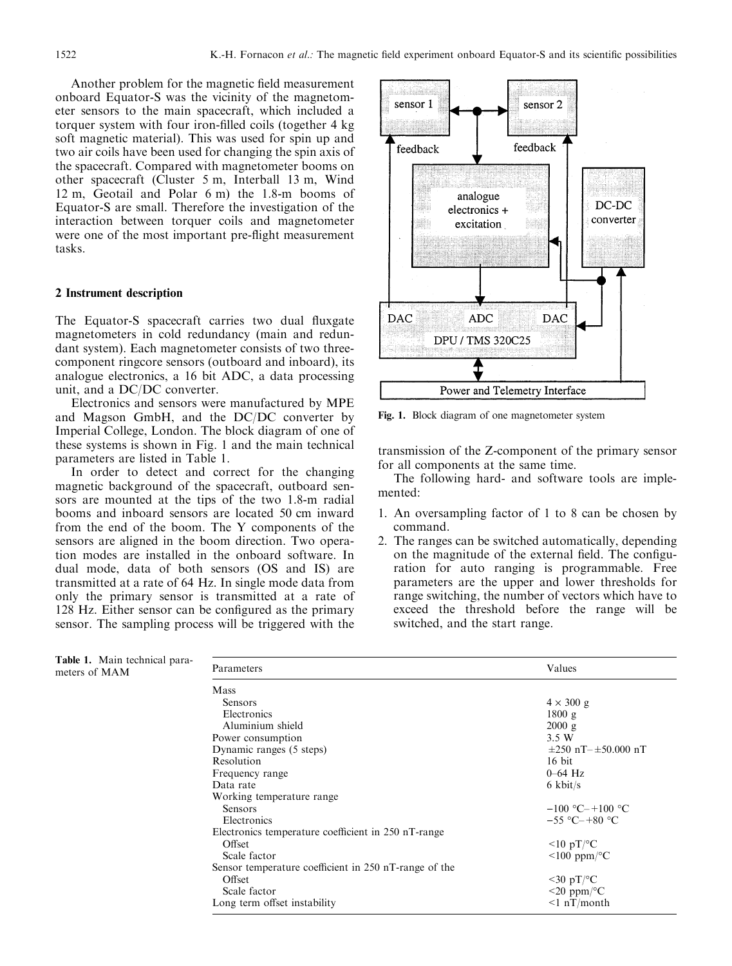Another problem for the magnetic field measurement onboard Equator-S was the vicinity of the magnetometer sensors to the main spacecraft, which included a torquer system with four iron-filled coils (together 4 kg) soft magnetic material). This was used for spin up and two air coils have been used for changing the spin axis of the spacecraft. Compared with magnetometer booms on other spacecraft (Cluster 5 m, Interball 13 m, Wind 12 m, Geotail and Polar 6 m) the 1.8-m booms of Equator-S are small. Therefore the investigation of the interaction between torquer coils and magnetometer were one of the most important pre-flight measurement tasks.

## 2 Instrument description

The Equator-S spacecraft carries two dual fluxgate magnetometers in cold redundancy (main and redundant system). Each magnetometer consists of two threecomponent ringcore sensors (outboard and inboard), its analogue electronics, a 16 bit ADC, a data processing unit, and a DC/DC converter.

Electronics and sensors were manufactured by MPE and Magson GmbH, and the DC/DC converter by Imperial College, London. The block diagram of one of these systems is shown in Fig. 1 and the main technical parameters are listed in Table 1.

In order to detect and correct for the changing magnetic background of the spacecraft, outboard sensors are mounted at the tips of the two 1.8-m radial booms and inboard sensors are located 50 cm inward from the end of the boom. The Y components of the sensors are aligned in the boom direction. Two operation modes are installed in the onboard software. In dual mode, data of both sensors (OS and IS) are transmitted at a rate of 64 Hz. In single mode data from only the primary sensor is transmitted at a rate of 128 Hz. Either sensor can be configured as the primary sensor. The sampling process will be triggered with the



Fig. 1. Block diagram of one magnetometer system

transmission of the Z-component of the primary sensor for all components at the same time.

The following hard- and software tools are implemented:

- 1. An oversampling factor of 1 to 8 can be chosen by command.
- 2. The ranges can be switched automatically, depending on the magnitude of the external field. The configuration for auto ranging is programmable. Free parameters are the upper and lower thresholds for range switching, the number of vectors which have to exceed the threshold before the range will be switched, and the start range.

| <b>Table 1.</b> Main technical para-<br>meters of MAM | Parameters                                            | Values                         |  |  |
|-------------------------------------------------------|-------------------------------------------------------|--------------------------------|--|--|
|                                                       | Mass                                                  |                                |  |  |
|                                                       | Sensors                                               | $4 \times 300$ g               |  |  |
|                                                       | Electronics                                           | 1800 g                         |  |  |
|                                                       | Aluminium shield                                      | $2000 \text{ g}$               |  |  |
|                                                       | Power consumption                                     | 3.5 W                          |  |  |
|                                                       | Dynamic ranges (5 steps)                              | $\pm 250$ nT- $\pm 50.000$ nT  |  |  |
|                                                       | Resolution                                            | $16$ bit                       |  |  |
|                                                       | Frequency range                                       | $0-64$ Hz                      |  |  |
|                                                       | Data rate                                             | $6 \text{ kbit/s}$             |  |  |
|                                                       | Working temperature range.                            |                                |  |  |
|                                                       | <b>Sensors</b>                                        | $-100$ °C-+100 °C              |  |  |
|                                                       | Electronics                                           | $-55$ °C $-+80$ °C             |  |  |
|                                                       | Electronics temperature coefficient in 250 nT-range   |                                |  |  |
|                                                       | Offset                                                | $\leq 10 \text{ pT}/\text{°C}$ |  |  |
|                                                       | Scale factor                                          | $\leq 100$ ppm/°C              |  |  |
|                                                       | Sensor temperature coefficient in 250 nT-range of the |                                |  |  |
|                                                       | Offset                                                | $\leq 30$ pT/ $\rm ^{\circ}C$  |  |  |
|                                                       | Scale factor                                          | $\leq$ 20 ppm/°C               |  |  |
|                                                       | Long term offset instability                          | $\leq 1 \text{ nT/month}$      |  |  |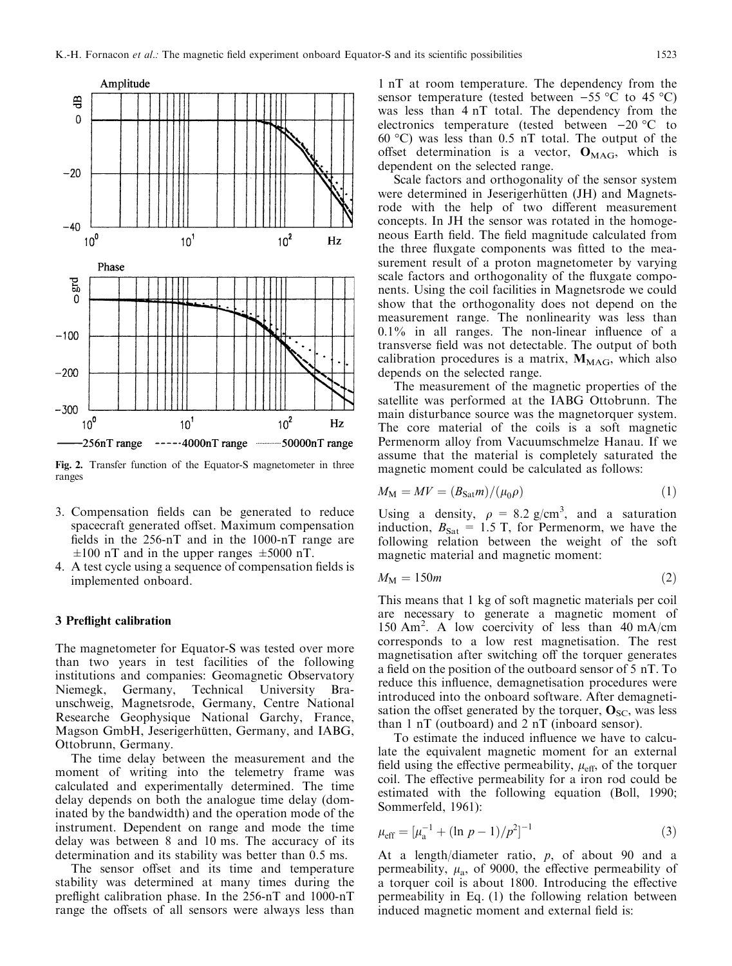

Fig. 2. Transfer function of the Equator-S magnetometer in three ranges

- 3. Compensation fields can be generated to reduce spacecraft generated offset. Maximum compensation fields in the  $256-nT$  and in the 1000-nT range are  $\pm 100$  nT and in the upper ranges  $\pm 5000$  nT.
- 4. A test cycle using a sequence of compensation fields is implemented onboard.

## 3 Preflight calibration

The magnetometer for Equator-S was tested over more than two years in test facilities of the following institutions and companies: Geomagnetic Observatory Niemegk, Germany, Technical University Braunschweig, Magnetsrode, Germany, Centre National Researche Geophysique National Garchy, France, Magson GmbH, Jeserigerhütten, Germany, and IABG, Ottobrunn, Germany.

The time delay between the measurement and the moment of writing into the telemetry frame was calculated and experimentally determined. The time delay depends on both the analogue time delay (dominated by the bandwidth) and the operation mode of the instrument. Dependent on range and mode the time delay was between 8 and 10 ms. The accuracy of its determination and its stability was better than 0.5 ms.

The sensor offset and its time and temperature stability was determined at many times during the preflight calibration phase. In the  $256$ -nT and  $1000$ -nT range the offsets of all sensors were always less than

1 nT at room temperature. The dependency from the sensor temperature (tested between  $-55 \,^{\circ}\text{C}$  to 45  $^{\circ}\text{C}$ ) was less than 4 nT total. The dependency from the electronics temperature (tested between  $-20$  °C to 60 °C) was less than 0.5 nT total. The output of the offset determination is a vector,  $O_{\text{MAG}}$ , which is dependent on the selected range.

Scale factors and orthogonality of the sensor system were determined in Jeserigerhütten (JH) and Magnetsrode with the help of two different measurement concepts. In JH the sensor was rotated in the homogeneous Earth field. The field magnitude calculated from the three fluxgate components was fitted to the measurement result of a proton magnetometer by varying scale factors and orthogonality of the fluxgate components. Using the coil facilities in Magnetsrode we could show that the orthogonality does not depend on the measurement range. The nonlinearity was less than  $0.1\%$  in all ranges. The non-linear influence of a transverse field was not detectable. The output of both calibration procedures is a matrix,  $M_{\text{MAG}}$ , which also depends on the selected range.

The measurement of the magnetic properties of the satellite was performed at the IABG Ottobrunn. The main disturbance source was the magnetorquer system. The core material of the coils is a soft magnetic Permenorm alloy from Vacuumschmelze Hanau. If we assume that the material is completely saturated the magnetic moment could be calculated as follows:

$$
M_{\rm M} = MV = (B_{\rm Sat}m)/(\mu_0 \rho) \tag{1}
$$

Using a density,  $\rho = 8.2$  g/cm<sup>3</sup>, and a saturation induction,  $B_{\text{Sat}} = 1.5$  T, for Permenorm, we have the following relation between the weight of the soft magnetic material and magnetic moment:

$$
M_{\rm M} = 150m\tag{2}
$$

This means that 1 kg of soft magnetic materials per coil are necessary to generate a magnetic moment of 150 Am<sup>2</sup> . A low coercivity of less than 40 mA/cm corresponds to a low rest magnetisation. The rest magnetisation after switching off the torquer generates a field on the position of the outboard sensor of 5 nT. To reduce this influence, demagnetisation procedures were introduced into the onboard software. After demagnetisation the offset generated by the torquer,  $\mathbf{O}_{SC}$ , was less than 1 nT (outboard) and 2 nT (inboard sensor).

To estimate the induced influence we have to calculate the equivalent magnetic moment for an external field using the effective permeability,  $\mu_{\text{eff}}$ , of the torquer coil. The effective permeability for a iron rod could be estimated with the following equation (Boll, 1990; Sommerfeld, 1961):

$$
\mu_{\text{eff}} = \left[\mu_{\text{a}}^{-1} + (\ln p - 1)/p^2\right]^{-1} \tag{3}
$$

At a length/diameter ratio,  $p$ , of about 90 and a permeability,  $\mu_a$ , of 9000, the effective permeability of a torquer coil is about 1800. Introducing the effective permeability in Eq. (1) the following relation between induced magnetic moment and external field is: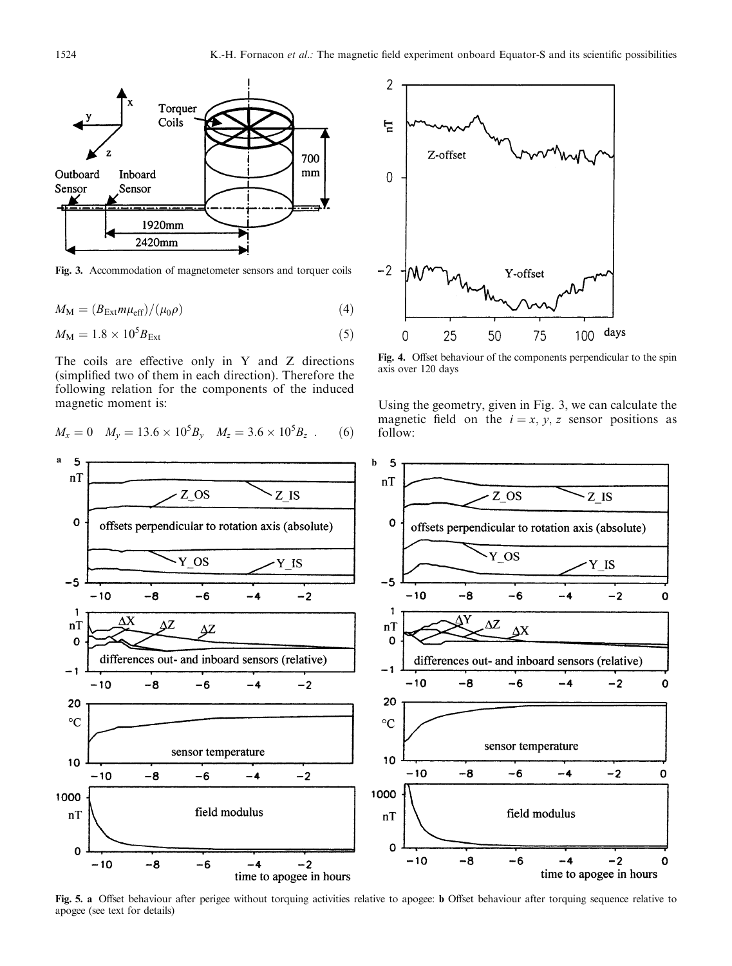

Fig. 3. Accommodation of magnetometer sensors and torquer coils

$$
M_{\rm M} = (B_{\rm Ext} m \mu_{\rm eff}) / (\mu_0 \rho) \tag{4}
$$

$$
M_{\rm M} = 1.8 \times 10^5 B_{\rm Ext} \tag{5}
$$

The coils are effective only in  $Y$  and  $Z$  directions (simplified two of them in each direction). Therefore the following relation for the components of the induced magnetic moment is:

$$
M_x = 0 \quad M_y = 13.6 \times 10^5 B_y \quad M_z = 3.6 \times 10^5 B_z \quad . \tag{6}
$$



Fig. 4. Offset behaviour of the components perpendicular to the spin axis over 120 days

Using the geometry, given in Fig. 3, we can calculate the magnetic field on the  $i = x, y, z$  sensor positions as follow:



Fig. 5. a Offset behaviour after perigee without torquing activities relative to apogee: b Offset behaviour after torquing sequence relative to apogee (see text for details)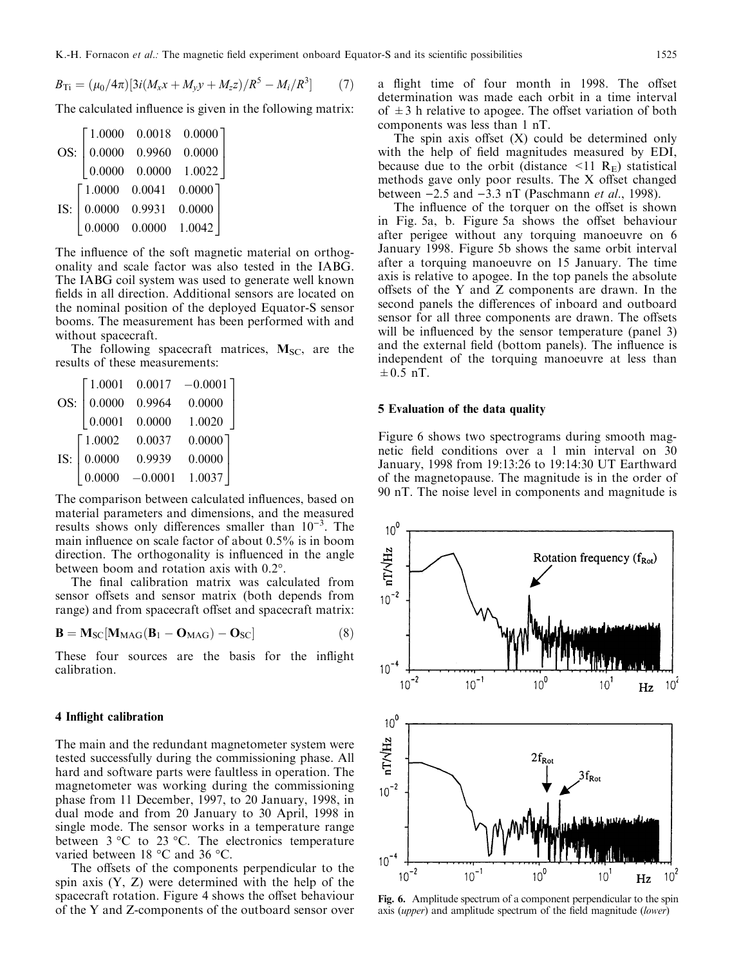$B_{\text{Ti}} = (\mu_0/4\pi)[3i(M_x x + M_y y + M_z z)/R^5 - M_i/R^3]$  $(7)$ 

The calculated influence is given in the following matrix:

|     |                                                          |                                    | $\begin{bmatrix} 1.0000 & 0.0018 & 0.0000 \end{bmatrix}$ |  |
|-----|----------------------------------------------------------|------------------------------------|----------------------------------------------------------|--|
| OS: |                                                          |                                    | $0.0000 \quad 0.9960 \quad 0.0000$                       |  |
|     |                                                          |                                    | $\begin{bmatrix} 0.0000 & 0.0000 & 1.0022 \end{bmatrix}$ |  |
| IS: | $\begin{bmatrix} 1.0000 & 0.0041 & 0.0000 \end{bmatrix}$ |                                    |                                                          |  |
|     |                                                          | $0.0000 \quad 0.9931 \quad 0.0000$ |                                                          |  |
|     |                                                          | $0.0000 \quad 0.0000 \quad 1.0042$ |                                                          |  |

The influence of the soft magnetic material on orthogonality and scale factor was also tested in the IABG. The IABG coil system was used to generate well known fields in all direction. Additional sensors are located on the nominal position of the deployed Equator-S sensor booms. The measurement has been performed with and without spacecraft.

The following spacecraft matrices,  $M_{SC}$ , are the results of these measurements:

|     | 1.0001    | 0.0017    | $-0.0001$ |
|-----|-----------|-----------|-----------|
| OS: | 0.0000    | 0.9964    | 0.0000    |
|     | 0.0001    | 0.0000    | 1.0020    |
| IS: | $-1.0002$ | 0.0037    | 0.0000    |
|     | 0.0000    | 0.9939    | 0.0000    |
|     | 0.0000    | $-0.0001$ | 1.0037    |

The comparison between calculated influences, based on material parameters and dimensions, and the measured results shows only differences smaller than  $10^{-3}$ . The main influence on scale factor of about  $0.5\%$  is in boom direction. The orthogonality is influenced in the angle between boom and rotation axis with 0.2°.

The final calibration matrix was calculated from sensor offsets and sensor matrix (both depends from range) and from spacecraft offset and spacecraft matrix:

$$
\mathbf{B} = \mathbf{M}_{\rm SC} [\mathbf{M}_{\rm MAG} (\mathbf{B}_1 - \mathbf{O}_{\rm MAG}) - \mathbf{O}_{\rm SC}] \tag{8}
$$

These four sources are the basis for the inflight calibration.

#### 4 Inflight calibration

The main and the redundant magnetometer system were tested successfully during the commissioning phase. All hard and software parts were faultless in operation. The magnetometer was working during the commissioning phase from 11 December, 1997, to 20 January, 1998, in dual mode and from 20 January to 30 April, 1998 in single mode. The sensor works in a temperature range between  $3 \text{ °C}$  to  $23 \text{ °C}$ . The electronics temperature varied between 18 °C and 36 °C.

The offsets of the components perpendicular to the spin axis (Y, Z) were determined with the help of the spacecraft rotation. Figure 4 shows the offset behaviour of the Y and Z-components of the outboard sensor over a flight time of four month in 1998. The offset determination was made each orbit in a time interval of  $\pm 3$  h relative to apogee. The offset variation of both components was less than 1 nT.

The spin axis offset  $(X)$  could be determined only with the help of field magnitudes measured by EDI, because due to the orbit (distance  $\leq 11 \text{ R}_{\text{E}}$ ) statistical methods gave only poor results. The  $X$  offset changed between  $-2.5$  and  $-3.3$  nT (Paschmann *et al.*, 1998).

The influence of the torquer on the offset is shown in Fig. 5a, b. Figure 5a shows the offset behaviour after perigee without any torquing manoeuvre on 6 January 1998. Figure 5b shows the same orbit interval after a torquing manoeuvre on 15 January. The time axis is relative to apogee. In the top panels the absolute offsets of the Y and Z components are drawn. In the second panels the differences of inboard and outboard sensor for all three components are drawn. The offsets will be influenced by the sensor temperature (panel 3) and the external field (bottom panels). The influence is independent of the torquing manoeuvre at less than  $\pm 0.5$  nT.

## 5 Evaluation of the data quality

Figure 6 shows two spectrograms during smooth magnetic field conditions over a 1 min interval on 30 January, 1998 from 19:13:26 to 19:14:30 UT Earthward of the magnetopause. The magnitude is in the order of 90 nT. The noise level in components and magnitude is



Fig. 6. Amplitude spectrum of a component perpendicular to the spin axis (*upper*) and amplitude spectrum of the field magnitude (*lower*)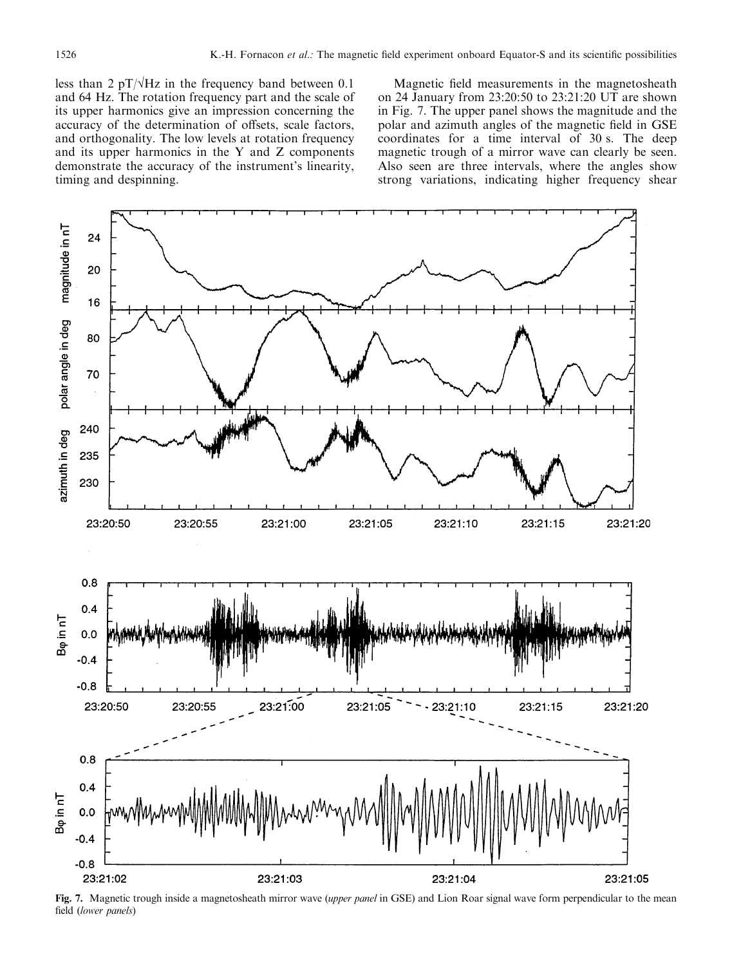less than 2 pT/ $\sqrt{Hz}$  in the frequency band between 0.1 and 64 Hz. The rotation frequency part and the scale of its upper harmonics give an impression concerning the accuracy of the determination of offsets, scale factors, and orthogonality. The low levels at rotation frequency and its upper harmonics in the Y and Z components demonstrate the accuracy of the instrument's linearity, timing and despinning.

Magnetic field measurements in the magnetosheath on 24 January from 23:20:50 to 23:21:20 UT are shown in Fig. 7. The upper panel shows the magnitude and the polar and azimuth angles of the magnetic field in GSE coordinates for a time interval of 30 s. The deep magnetic trough of a mirror wave can clearly be seen. Also seen are three intervals, where the angles show strong variations, indicating higher frequency shear



Fig. 7. Magnetic trough inside a magnetosheath mirror wave (upper panel in GSE) and Lion Roar signal wave form perpendicular to the mean field (lower panels)